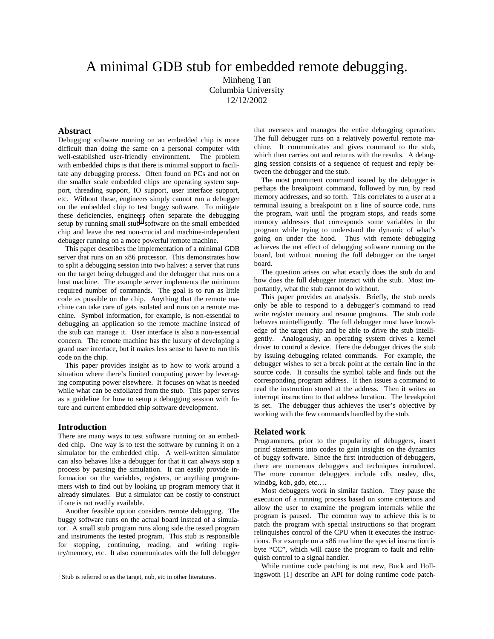# A minimal GDB stub for embedded remote debugging.

Minheng Tan Columbia University 12/12/2002

# **Abstract**

Debugging software running on an embedded chip is more difficult than doing the same on a personal computer with well-established user-friendly environment. The problem with embedded chips is that there is minimal support to facilitate any debugging process. Often found on PCs and not on the smaller scale embedded chips are operating system support, threading support, IO support, user interface support, etc. Without these, engineers simply cannot run a debugger on the embedded chip to test buggy software. To mitigate these deficiencies, engineers often separate the debugging setup by running small stub<sup>1</sup> software on the small embedded chip and leave the rest non-crucial and machine-independent debugger running on a more powerful remote machine.

This paper describes the implementation of a minimal GDB server that runs on an x86 processor. This demonstrates how to split a debugging session into two halves: a server that runs on the target being debugged and the debugger that runs on a host machine. The example server implements the minimum required number of commands. The goal is to run as little code as possible on the chip. Anything that the remote machine can take care of gets isolated and runs on a remote machine. Symbol information, for example, is non-essential to debugging an application so the remote machine instead of the stub can manage it. User interface is also a non-essential concern. The remote machine has the luxury of developing a grand user interface, but it makes less sense to have to run this code on the chip.

This paper provides insight as to how to work around a situation where there's limited computing power by leveraging computing power elsewhere. It focuses on what is needed while what can be exfoliated from the stub. This paper serves as a guideline for how to setup a debugging session with future and current embedded chip software development.

#### **Introduction**

 $\overline{a}$ 

There are many ways to test software running on an embedded chip. One way is to test the software by running it on a simulator for the embedded chip. A well-written simulator can also behaves like a debugger for that it can always stop a process by pausing the simulation. It can easily provide information on the variables, registers, or anything programmers wish to find out by looking up program memory that it already simulates. But a simulator can be costly to construct if one is not readily available.

Another feasible option considers remote debugging. The buggy software runs on the actual board instead of a simulator. A small stub program runs along side the tested program and instruments the tested program. This stub is responsible for stopping, continuing, reading, and writing registry/memory, etc. It also communicates with the full debugger that oversees and manages the entire debugging operation. The full debugger runs on a relatively powerful remote machine. It communicates and gives command to the stub, which then carries out and returns with the results. A debugging session consists of a sequence of request and reply between the debugger and the stub.

The most prominent command issued by the debugger is perhaps the breakpoint command, followed by run, by read memory addresses, and so forth. This correlates to a user at a terminal issuing a breakpoint on a line of source code, runs the program, wait until the program stops, and reads some memory addresses that corresponds some variables in the program while trying to understand the dynamic of what's going on under the hood. Thus with remote debugging achieves the net effect of debugging software running on the board, but without running the full debugger on the target board.

The question arises on what exactly does the stub do and how does the full debugger interact with the stub. Most importantly, what the stub cannot do without.

This paper provides an analysis. Briefly, the stub needs only be able to respond to a debugger's command to read write register memory and resume programs. The stub code behaves unintelligently. The full debugger must have knowledge of the target chip and be able to drive the stub intelligently. Analogously, an operating system drives a kernel driver to control a device. Here the debugger drives the stub by issuing debugging related commands. For example, the debugger wishes to set a break point at the certain line in the source code. It consults the symbol table and finds out the corresponding program address. It then issues a command to read the instruction stored at the address. Then it writes an interrupt instruction to that address location. The breakpoint is set. The debugger thus achieves the user's objective by working with the few commands handled by the stub.

#### **Related work**

Programmers, prior to the popularity of debuggers, insert printf statements into codes to gain insights on the dynamics of buggy software. Since the first introduction of debuggers, there are numerous debuggers and techniques introduced. The more common debuggers include cdb, msdev, dbx, windbg, kdb, gdb, etc….

Most debuggers work in similar fashion. They pause the execution of a running process based on some criterions and allow the user to examine the program internals while the program is paused. The common way to achieve this is to patch the program with special instructions so that program relinquishes control of the CPU when it executes the instructions. For example on a x86 machine the special instruction is byte "CC", which will cause the program to fault and relinquish control to a signal handler.

While runtime code patching is not new, Buck and Hollingswoth [1] describe an API for doing runtime code patch-

 $1$  Stub is referred to as the target, nub, etc in other literatures.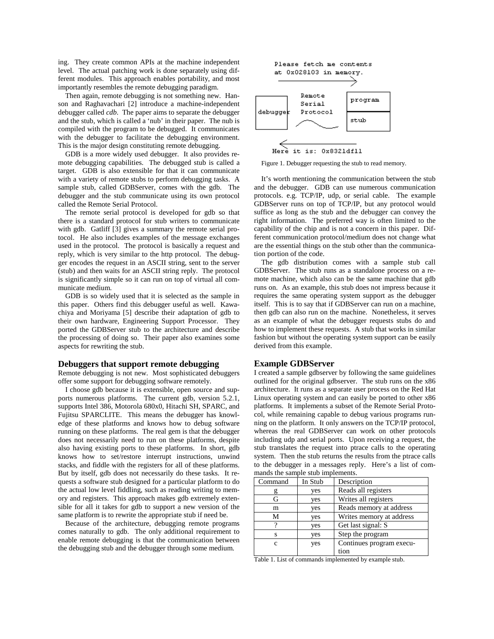ing. They create common APIs at the machine independent level. The actual patching work is done separately using different modules. This approach enables portability, and most importantly resembles the remote debugging paradigm.

Then again, remote debugging is not something new. Hanson and Raghavachari [2] introduce a machine-independent debugger called *cdb*. The paper aims to separate the debugger and the stub, which is called a 'nub' in their paper. The nub is compiled with the program to be debugged. It communicates with the debugger to facilitate the debugging environment. This is the major design constituting remote debugging.

GDB is a more widely used debugger. It also provides remote debugging capabilities. The debugged stub is called a target. GDB is also extensible for that it can communicate with a variety of remote stubs to perform debugging tasks. A sample stub, called GDBServer, comes with the gdb. The debugger and the stub communicate using its own protocol called the Remote Serial Protocol.

The remote serial protocol is developed for gdb so that there is a standard protocol for stub writers to communicate with gdb. Gatliff [3] gives a summary the remote serial protocol. He also includes examples of the message exchanges used in the protocol. The protocol is basically a request and reply, which is very similar to the http protocol. The debugger encodes the request in an ASCII string, sent to the server (stub) and then waits for an ASCII string reply. The protocol is significantly simple so it can run on top of virtual all communicate medium.

GDB is so widely used that it is selected as the sample in this paper. Others find this debugger useful as well. Kawachiya and Moriyama [5] describe their adaptation of gdb to their own hardware, Engineering Support Processor. They ported the GDBServer stub to the architecture and describe the processing of doing so. Their paper also examines some aspects for rewriting the stub.

#### **Debuggers that support remote debugging**

Remote debugging is not new. Most sophisticated debuggers offer some support for debugging software remotely.

I choose gdb because it is extensible, open source and supports numerous platforms. The current gdb, version 5.2.1, supports Intel 386, Motorola 680x0, Hitachi SH, SPARC, and Fujitsu SPARCLITE. This means the debugger has knowledge of these platforms and knows how to debug software running on these platforms. The real gem is that the debugger does not necessarily need to run on these platforms, despite also having existing ports to these platforms. In short, gdb knows how to set/restore interrupt instructions, unwind stacks, and fiddle with the registers for all of these platforms. But by itself, gdb does not necessarily do these tasks. It requests a software stub designed for a particular platform to do the actual low level fiddling, such as reading writing to memory and registers. This approach makes gdb extremely extensible for all it takes for gdb to support a new version of the same platform is to rewrite the appropriate stub if need be.

Because of the architecture, debugging remote programs comes naturally to gdb. The only additional requirement to enable remote debugging is that the communication between the debugging stub and the debugger through some medium.



Figure 1. Debugger requesting the stub to read memory.

It's worth mentioning the communication between the stub and the debugger. GDB can use numerous communication protocols. e.g. TCP/IP, udp, or serial cable. The example GDBServer runs on top of TCP/IP, but any protocol would suffice as long as the stub and the debugger can convey the right information. The preferred way is often limited to the capability of the chip and is not a concern in this paper. Different communication protocol/medium does not change what are the essential things on the stub other than the communication portion of the code.

The gdb distribution comes with a sample stub call GDBServer. The stub runs as a standalone process on a remote machine, which also can be the same machine that gdb runs on. As an example, this stub does not impress because it requires the same operating system support as the debugger itself. This is to say that if GDBServer can run on a machine, then gdb can also run on the machine. Nonetheless, it serves as an example of what the debugger requests stubs do and how to implement these requests. A stub that works in similar fashion but without the operating system support can be easily derived from this example.

# **Example GDBServer**

I created a sample gdbserver by following the same guidelines outlined for the original gdbserver. The stub runs on the x86 architecture. It runs as a separate user process on the Red Hat Linux operating system and can easily be ported to other x86 platforms. It implements a subset of the Remote Serial Protocol, while remaining capable to debug various programs running on the platform. It only answers on the TCP/IP protocol, whereas the real GDBServer can work on other protocols including udp and serial ports. Upon receiving a request, the stub translates the request into ptrace calls to the operating system. Then the stub returns the results from the ptrace calls to the debugger in a messages reply. Here's a list of commands the sample stub implements.

| Command | In Stub | Description              |
|---------|---------|--------------------------|
|         | yes     | Reads all registers      |
| Gì      | yes     | Writes all registers     |
| m       | yes     | Reads memory at address  |
| М       | yes     | Writes memory at address |
| റ       | yes     | Get last signal: S       |
| S       | yes     | Step the program         |
| C       | yes     | Continues program execu- |
|         |         | tion                     |

Table 1. List of commands implemented by example stub.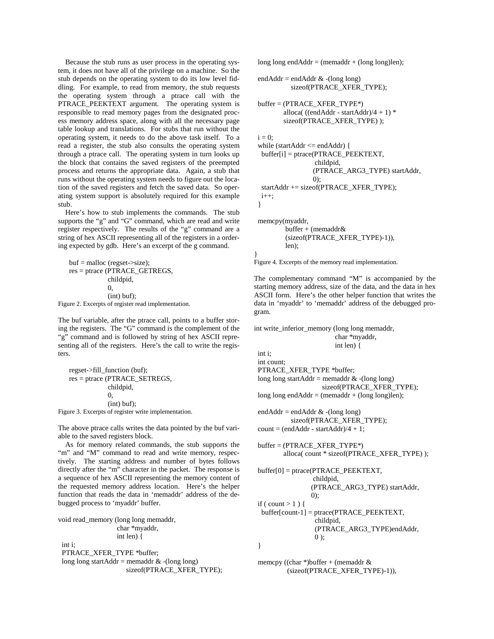Because the stub runs as user process in the operating system, it does not have all of the privilege on a machine. So the stub depends on the operating system to do its low level fiddling. For example, to read from memory, the stub requests the operating system through a ptrace call with the PTRACE\_PEEKTEXT argument. The operating system is responsible to read memory pages from the designated process memory address space, along with all the necessary page table lookup and translations. For stubs that run without the operating system, it needs to do the above task itself. To a read a register, the stub also consults the operating system through a ptrace call. The operating system in turn looks up the block that contains the saved registers of the preempted process and returns the appropriate data. Again, a stub that runs without the operating system needs to figure out the location of the saved registers and fetch the saved data. So operating system support is absolutely required for this example stub.

Here's how to stub implements the commands. The stub supports the "g" and "G" command, which are read and write register respectively. The results of the "g" command are a string of hex ASCII representing all of the registers in a ordering expected by gdb. Here's an excerpt of the g command.

```
buf = \text{malloc} (regset-\gtsize);
     res = ptrace (PTRACE_GETREGS, 
                    childpid, 
                    0, 
                    (int) buf); 
Figure 2. Excerpts of register read implementation.
```
The buf variable, after the ptrace call, points to a buffer storing the registers. The "G" command is the complement of the "g" command and is followed by string of hex ASCII representing all of the registers. Here's the call to write the registers.

 regset->fill\_function (buf); res = ptrace (PTRACE\_SETREGS, childpid, 0, (int) buf); Figure 3. Excerpts of register write implementation.

The above ptrace calls writes the data pointed by the buf variable to the saved registers block.

As for memory related commands, the stub supports the "m" and "M" command to read and write memory, respectively. The starting address and number of bytes follows directly after the "m" character in the packet. The response is a sequence of hex ASCII representing the memory content of the requested memory address location. Here's the helper function that reads the data in 'memaddr' address of the debugged process to 'myaddr' buffer.

void read\_memory (long long memaddr, char \*myaddr, int len) {

int i;

 PTRACE\_XFER\_TYPE \*buffer; long long startAddr = memaddr  $&$  -(long long) sizeof(PTRACE\_XFER\_TYPE); long long end $Addr = (nemanddr + (long long)len);$ 

```
endAddr = endAddr \& \text{-}(long long) sizeof(PTRACE_XFER_TYPE);
```

```
buffer = (PTRACE_XFER_TYPE^*)alloca( ((endAddr - startAddr)/4 + 1) * sizeof(PTRACE_XFER_TYPE) );
```

```
i = 0:
 while (startAddr <= endAddr) { 
  buffer[i] = ptrace(PTRACE_PEEKTEXT, 
                   childpid, 
                   (PTRACE_ARG3_TYPE) startAddr, 
                   0); 
  startAddr += sizeof(PTRACE_XFER_TYPE); 
 i_{++};
 }
```
 memcpy(myaddr, buffer + (memaddr& (sizeof(PTRACE\_XFER\_TYPE)-1)), len);

Figure 4. Excerpts of the memory read implementation.

}

int i;

The complementary command "M" is accompanied by the starting memory address, size of the data, and the data in hex ASCII form. Here's the other helper function that writes the data in 'myaddr' to 'memaddr' address of the debugged program.

int write\_inferior\_memory (long long memaddr,

char \*myaddr,

```
 int len) {
```

```
 int count; 
 PTRACE_XFER_TYPE *buffer; 
long long startAddr = memaddr & -(long long)
                     sizeof(PTRACE_XFER_TYPE); 
long long endAddr = (nemanddr + (long long)len);
```
end $Addr = endAddr \& \text{-}(long long)$  sizeof(PTRACE\_XFER\_TYPE);  $count = (endAddr - startAddr)/4 + 1;$ 

 $buffer = (PTRACE~XFER~TYPE*)$ alloca( count \* sizeof(PTRACE\_XFER\_TYPE) );

```
 buffer[0] = ptrace(PTRACE_PEEKTEXT, 
                  childpid, 
                  (PTRACE_ARG3_TYPE) startAddr, 
                  0); 
if ( count > 1 ) {
 buffer[count-1] = ptrace(PTRACE_PEEKTEXT, 
                  childpid, 
                  (PTRACE_ARG3_TYPE)endAddr, 
                 0 );
 } 
memcpy ((char *)buffer + (memaddr & (sizeof(PTRACE_XFER_TYPE)-1)),
```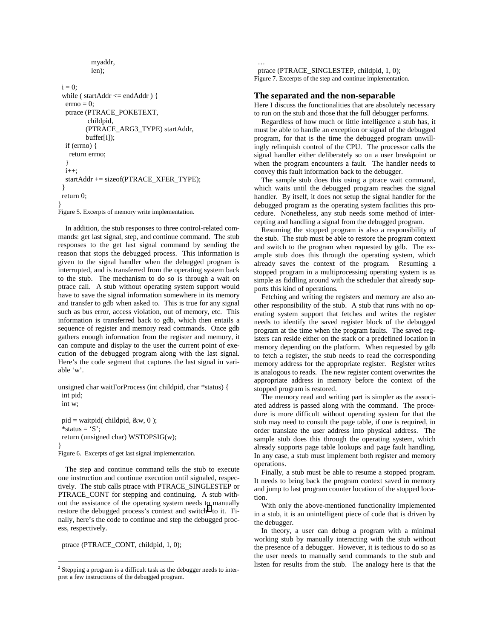```
 myaddr, 
            len); 
 i = 0:
  while ( startAddr <= endAddr ) { 
  errno = 0:
   ptrace (PTRACE_POKETEXT, 
           childpid, 
          (PTRACE_ARG3_TYPE) startAddr, 
          buffer[i]); 
   if (errno) { 
    return errno; 
    } 
  i++:
   startAddr += sizeof(PTRACE_XFER_TYPE); 
 } 
  return 0; 
} 
Figure 5. Excerpts of memory write implementation.
```
In addition, the stub responses to three control-related commands: get last signal, step, and continue command. The stub responses to the get last signal command by sending the reason that stops the debugged process. This information is given to the signal handler when the debugged program is interrupted, and is transferred from the operating system back to the stub. The mechanism to do so is through a wait on ptrace call. A stub without operating system support would have to save the signal information somewhere in its memory and transfer to gdb when asked to. This is true for any signal such as bus error, access violation, out of memory, etc. This information is transferred back to gdb, which then entails a sequence of register and memory read commands. Once gdb gathers enough information from the register and memory, it can compute and display to the user the current point of execution of the debugged program along with the last signal. Here's the code segment that captures the last signal in variable 'w'.

unsigned char waitForProcess (int childpid, char \*status) { int pid; int w;

```
pid = \text{waitpid}( \text{childpid}, \& w, 0);*status = 'S:
  return (unsigned char) WSTOPSIG(w); 
} 
Figure 6. Excerpts of get last signal implementation.
```
The step and continue command tells the stub to execute one instruction and continue execution until signaled, respectively. The stub calls ptrace with PTRACE\_SINGLESTEP or PTRACE\_CONT for stepping and continuing. A stub without the assistance of the operating system needs to manually restore the debugged process's context and switch<sup>2</sup> to it. Finally, here's the code to continue and step the debugged process, respectively.

ptrace (PTRACE\_CONT, childpid, 1, 0);

 $\overline{a}$ 

 ptrace (PTRACE\_SINGLESTEP, childpid, 1, 0); Figure 7. Excerpts of the step and continue implementation.

## **The separated and the non-separable**

…

Here I discuss the functionalities that are absolutely necessary to run on the stub and those that the full debugger performs.

Regardless of how much or little intelligence a stub has, it must be able to handle an exception or signal of the debugged program, for that is the time the debugged program unwillingly relinquish control of the CPU. The processor calls the signal handler either deliberately so on a user breakpoint or when the program encounters a fault. The handler needs to convey this fault information back to the debugger.

The sample stub does this using a ptrace wait command, which waits until the debugged program reaches the signal handler. By itself, it does not setup the signal handler for the debugged program as the operating system facilities this procedure. Nonetheless, any stub needs some method of intercepting and handling a signal from the debugged program.

Resuming the stopped program is also a responsibility of the stub. The stub must be able to restore the program context and switch to the program when requested by gdb. The example stub does this through the operating system, which already saves the context of the program. Resuming a stopped program in a multiprocessing operating system is as simple as fiddling around with the scheduler that already supports this kind of operations.

Fetching and writing the registers and memory are also another responsibility of the stub. A stub that runs with no operating system support that fetches and writes the register needs to identify the saved register block of the debugged program at the time when the program faults. The saved registers can reside either on the stack or a predefined location in memory depending on the platform. When requested by gdb to fetch a register, the stub needs to read the corresponding memory address for the appropriate register. Register writes is analogous to reads. The new register content overwrites the appropriate address in memory before the context of the stopped program is restored.

The memory read and writing part is simpler as the associated address is passed along with the command. The procedure is more difficult without operating system for that the stub may need to consult the page table, if one is required, in order translate the user address into physical address. The sample stub does this through the operating system, which already supports page table lookups and page fault handling. In any case, a stub must implement both register and memory operations.

Finally, a stub must be able to resume a stopped program. It needs to bring back the program context saved in memory and jump to last program counter location of the stopped location.

With only the above-mentioned functionality implemented in a stub, it is an unintelligent piece of code that is driven by the debugger.

In theory, a user can debug a program with a minimal working stub by manually interacting with the stub without the presence of a debugger. However, it is tedious to do so as the user needs to manually send commands to the stub and listen for results from the stub. The analogy here is that the

 $2$  Stepping a program is a difficult task as the debugger needs to interpret a few instructions of the debugged program.